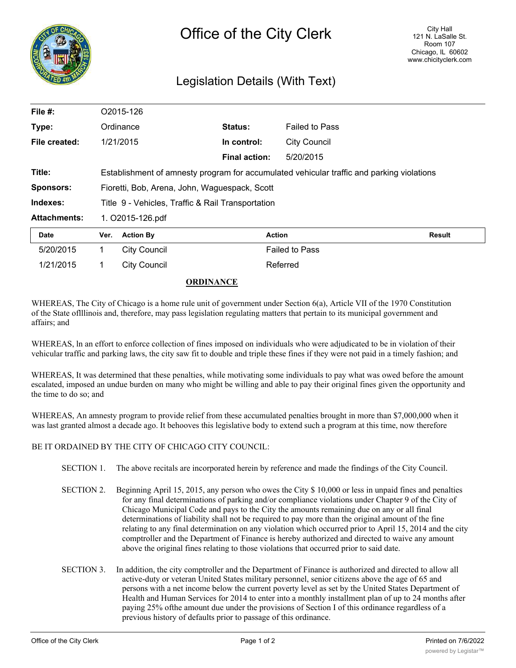

## Legislation Details (With Text)

| File #:             |                  | O2015-126                                                                                 |                      |                       |        |  |
|---------------------|------------------|-------------------------------------------------------------------------------------------|----------------------|-----------------------|--------|--|
| Type:               |                  | Ordinance                                                                                 | Status:              | <b>Failed to Pass</b> |        |  |
| File created:       |                  | 1/21/2015                                                                                 | In control:          | City Council          |        |  |
|                     |                  |                                                                                           | <b>Final action:</b> | 5/20/2015             |        |  |
| Title:              |                  | Establishment of amnesty program for accumulated vehicular traffic and parking violations |                      |                       |        |  |
| <b>Sponsors:</b>    |                  | Fioretti, Bob, Arena, John, Waguespack, Scott                                             |                      |                       |        |  |
| Indexes:            |                  | Title 9 - Vehicles, Traffic & Rail Transportation                                         |                      |                       |        |  |
| <b>Attachments:</b> | 1. O2015-126.pdf |                                                                                           |                      |                       |        |  |
| <b>Date</b>         | Ver.             | <b>Action By</b>                                                                          |                      | <b>Action</b>         | Result |  |
| 5/20/2015           | 1.               | <b>City Council</b>                                                                       |                      | <b>Failed to Pass</b> |        |  |
| 1/21/2015           |                  | <b>City Council</b>                                                                       |                      | Referred              |        |  |

## **ORDINANCE**

WHEREAS, The City of Chicago is a home rule unit of government under Section 6(a), Article VII of the 1970 Constitution of the State oflllinois and, therefore, may pass legislation regulating matters that pertain to its municipal government and affairs; and

WHEREAS, ln an effort to enforce collection of fines imposed on individuals who were adjudicated to be in violation of their vehicular traffic and parking laws, the city saw fit to double and triple these fines if they were not paid in a timely fashion; and

WHEREAS, It was determined that these penalties, while motivating some individuals to pay what was owed before the amount escalated, imposed an undue burden on many who might be willing and able to pay their original fines given the opportunity and the time to do so; and

WHEREAS, An amnesty program to provide relief from these accumulated penalties brought in more than \$7,000,000 when it was last granted almost a decade ago. It behooves this legislative body to extend such a program at this time, now therefore

## BE IT ORDAINED BY THE CITY OF CHICAGO CITY COUNCIL:

- SECTION 1. The above recitals are incorporated herein by reference and made the findings of the City Council.
- SECTION 2. Beginning April 15, 2015, any person who owes the City \$ 10,000 or less in unpaid fines and penalties for any final determinations of parking and/or compliance violations under Chapter 9 of the City of Chicago Municipal Code and pays to the City the amounts remaining due on any or all final determinations of liability shall not be required to pay more than the original amount of the fine relating to any final determination on any violation which occurred prior to April 15, 2014 and the city comptroller and the Department of Finance is hereby authorized and directed to waive any amount above the original fines relating to those violations that occurred prior to said date.
- SECTION 3. In addition, the city comptroller and the Department of Finance is authorized and directed to allow all active-duty or veteran United States military personnel, senior citizens above the age of 65 and persons with a net income below the current poverty level as set by the United States Department of Health and Human Services for 2014 to enter into a monthly installment plan of up to 24 months after paying 25% ofthe amount due under the provisions of Section I of this ordinance regardless of a previous history of defaults prior to passage of this ordinance.